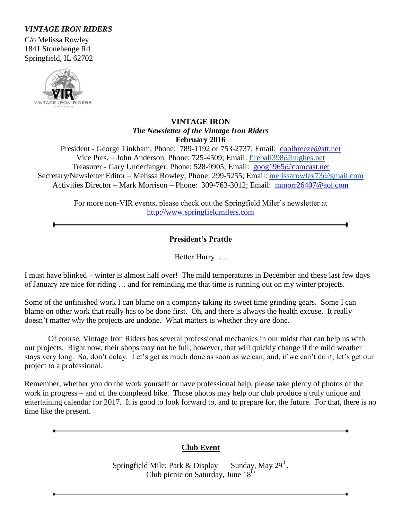## *VINTAGE IRON RIDERS*

C/o Melissa Rowley 1841 Stonehenge Rd Springfield, IL 62702



### **VINTAGE IRON** *The Newsletter of the Vintage Iron Riders* **February 2016**

President - George Tinkham, Phone: 789-1192 or 753-2737; Email: [coolbreeze@att.net](mailto:coolbreeze@att.net) Vice Pres. – John Anderson, Phone: 725-4509; Email: fireball398@hughes.net Treasurer - Gary Underfanger, Phone: 528-9905; Email: [goog1965@comcast.net](mailto:goog1965@comcast.net) Secretary/Newsletter Editor – Melissa Rowley, Phone: 299-5255; Email: [melissarowley73@gmail.com](mailto:melissarowley73@gmail.com) Activities Director – Mark Morrison – Phone: 309-763-3012; Email: [mmorr26407@aol.com](mailto:mmorr26407@aol.com)

> For more non-VIR events, please check out the Springfield Miler's newsletter at http://www.springfieldmilers.com

## **President's Prattle**

Better Hurry ….

I must have blinked – winter is almost half over! The mild temperatures in December and these last few days of January are nice for riding … and for reminding me that time is running out on my winter projects.

Some of the unfinished work I can blame on a company taking its sweet time grinding gears. Some I can blame on other work that really has to be done first. Oh, and there is always the health excuse. It really doesn't matter *why* the projects are undone. What matters is whether they *are* done.

 Of course, Vintage Iron Riders has several professional mechanics in our midst that can help us with our projects. Right now, their shops may not be full; however, that will quickly change if the mild weather stays very long. So, don't delay. Let's get as much done as soon as we can; and, if we can't do it, let's get our project to a professional.

Remember, whether you do the work yourself or have professional help, please take plenty of photos of the work in progress – and of the completed bike. Those photos may help our club produce a truly unique and entertaining calendar for 2017. It is good to look forward to, and to prepare for, the future. For that, there is no time like the present.

## **Club Event**

Springfield Mile: Park  $&$  Display Sunday, May 29<sup>th</sup>. Club picnic on Saturday, June  $18<sup>th</sup>$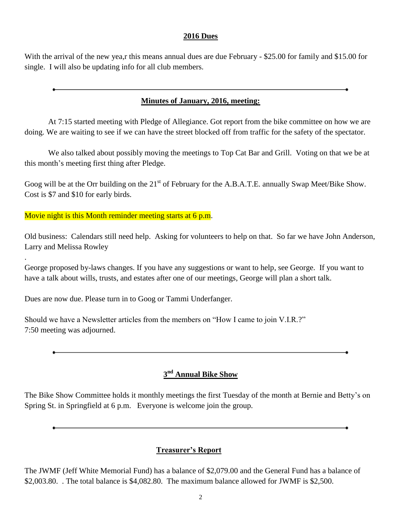#### **2016 Dues**

With the arrival of the new yea,r this means annual dues are due February - \$25.00 for family and \$15.00 for single. I will also be updating info for all club members.

### **Minutes of January, 2016, meeting:**

At 7:15 started meeting with Pledge of Allegiance. Got report from the bike committee on how we are doing. We are waiting to see if we can have the street blocked off from traffic for the safety of the spectator.

We also talked about possibly moving the meetings to Top Cat Bar and Grill. Voting on that we be at this month's meeting first thing after Pledge.

Goog will be at the Orr building on the  $21<sup>st</sup>$  of February for the A.B.A.T.E. annually Swap Meet/Bike Show. Cost is \$7 and \$10 for early birds.

Movie night is this Month reminder meeting starts at 6 p.m.

.

Old business: Calendars still need help. Asking for volunteers to help on that. So far we have John Anderson, Larry and Melissa Rowley

George proposed by-laws changes. If you have any suggestions or want to help, see George. If you want to have a talk about wills, trusts, and estates after one of our meetings, George will plan a short talk.

Dues are now due. Please turn in to Goog or Tammi Underfanger.

Should we have a Newsletter articles from the members on "How I came to join V.I.R.?" 7:50 meeting was adjourned.

## **3 nd Annual Bike Show**

The Bike Show Committee holds it monthly meetings the first Tuesday of the month at Bernie and Betty's on Spring St. in Springfield at 6 p.m. Everyone is welcome join the group.

#### **Treasurer's Report**

The JWMF (Jeff White Memorial Fund) has a balance of \$2,079.00 and the General Fund has a balance of \$2,003.80. The total balance is \$4,082.80. The maximum balance allowed for JWMF is \$2,500.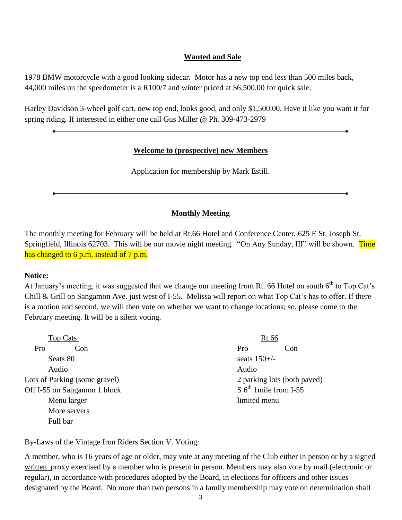### **Wanted and Sale**

1978 BMW motorcycle with a good looking sidecar. Motor has a new top end less than 500 miles back, 44,000 miles on the speedometer is a R100/7 and winter priced at \$6,500.00 for quick sale.

Harley Davidson 3-wheel golf cart, new top end, looks good, and only \$1,500.00. Have it like you want it for spring riding. If interested in either one call Gus Miller @ Ph. 309-473-2979

#### **Welcome to (prospective) new Members**

Application for membership by Mark Estill.

## **Monthly Meeting**

The monthly meeting for February will be held at Rt.66 Hotel and Conference Center, 625 E St. Joseph St. Springfield, Illinois 62703. This will be our movie night meeting. "On Any Sunday, III" will be shown. Time has changed to 6 p.m. instead of 7 p.m.

#### **Notice:**

At January's meeting, it was suggested that we change our meeting from Rt. 66 Hotel on south  $6<sup>th</sup>$  to Top Cat's Chill & Grill on Sangamon Ave. just west of I-55. Melissa will report on what Top Cat's has to offer. If there is a motion and second, we will then vote on whether we want to change locations; so, please come to the February meeting. It will be a silent voting.

| <b>Top Cats</b>               | <b>Rt</b> 66                 |  |
|-------------------------------|------------------------------|--|
| Pro<br>Con                    | Pro<br>Con                   |  |
| Seats 80                      | seats $150+/-$               |  |
| Audio                         | Audio                        |  |
| Lots of Parking (some gravel) | 2 parking lots (both paved)  |  |
| Off I-55 on Sangamon 1 block  | $S\ 6^{th}$ 1 mile from I-55 |  |
| Menu larger                   | limited menu                 |  |
| More servers                  |                              |  |
| Full bar                      |                              |  |

By-Laws of the Vintage Iron Riders Section V. Voting:

A member, who is 16 years of age or older, may vote at any meeting of the Club either in person or by a signed written proxy exercised by a member who is present in person. Members may also vote by mail (electronic or regular), in accordance with procedures adopted by the Board, in elections for officers and other issues designated by the Board. No more than two persons in a family membership may vote on determination shall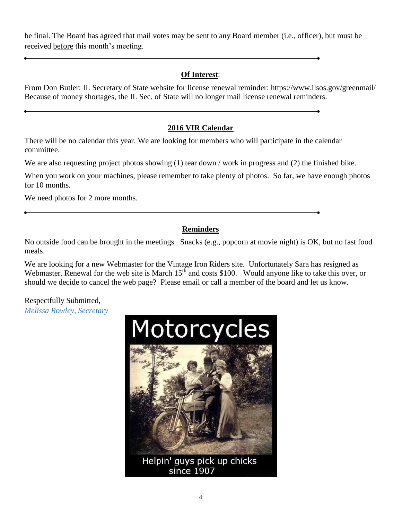be final. The Board has agreed that mail votes may be sent to any Board member (i.e., officer), but must be received before this month's meeting.

## **Of Interest**:

From Don Butler: IL Secretary of State website for license renewal reminder: https://www.ilsos.gov/greenmail/ Because of money shortages, the IL Sec. of State will no longer mail license renewal reminders.

## **2016 VIR Calendar**

There will be no calendar this year. We are looking for members who will participate in the calendar committee.

We are also requesting project photos showing (1) tear down / work in progress and (2) the finished bike.

When you work on your machines, please remember to take plenty of photos. So far, we have enough photos for 10 months.

We need photos for 2 more months.

# **Reminders**

No outside food can be brought in the meetings. Snacks (e.g., popcorn at movie night) is OK, but no fast food meals.

We are looking for a new Webmaster for the Vintage Iron Riders site. Unfortunately Sara has resigned as Webmaster. Renewal for the web site is March 15<sup>th</sup> and costs \$100. Would anyone like to take this over, or should we decide to cancel the web page? Please email or call a member of the board and let us know.

Respectfully Submitted, *Melissa Rowley, Secretary*



Helpin' guys pick up chicks since 1907